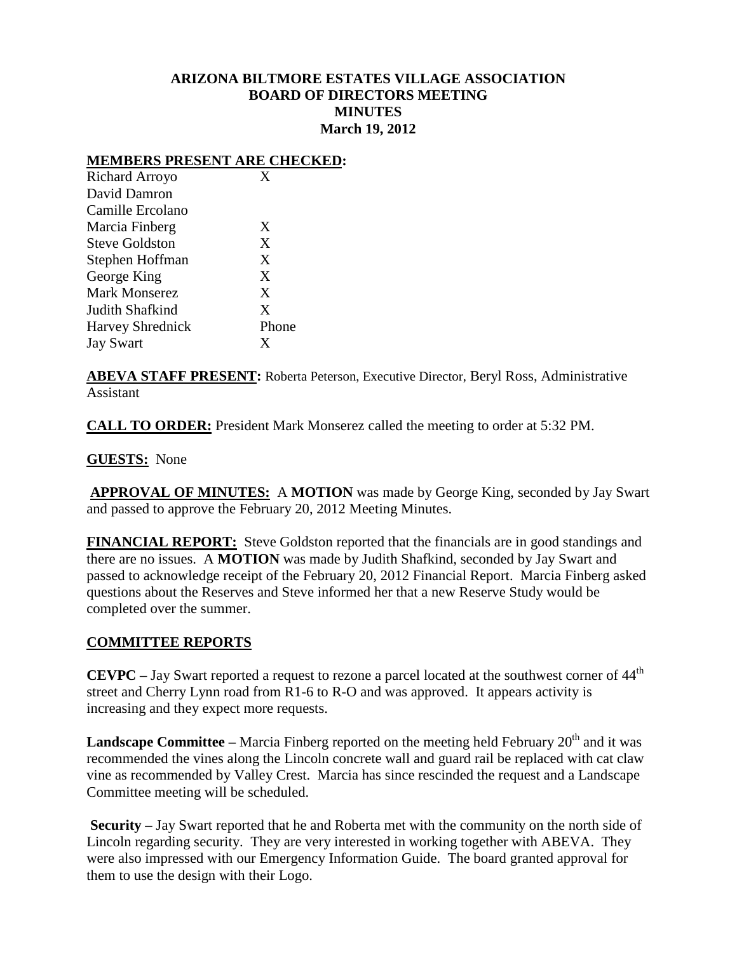### **ARIZONA BILTMORE ESTATES VILLAGE ASSOCIATION BOARD OF DIRECTORS MEETING MINUTES March 19, 2012**

#### **MEMBERS PRESENT ARE CHECKED:**

| Richard Arroyo          | X     |
|-------------------------|-------|
| David Damron            |       |
| Camille Ercolano        |       |
| Marcia Finberg          | X     |
| <b>Steve Goldston</b>   | X     |
| Stephen Hoffman         | X     |
| George King             | X     |
| <b>Mark Monserez</b>    | X     |
| Judith Shafkind         | X     |
| <b>Harvey Shrednick</b> | Phone |
| <b>Jay Swart</b>        | X     |

**ABEVA STAFF PRESENT:** Roberta Peterson, Executive Director, Beryl Ross, Administrative Assistant

**CALL TO ORDER:** President Mark Monserez called the meeting to order at 5:32 PM.

### **GUESTS:** None

**APPROVAL OF MINUTES:** A **MOTION** was made by George King, seconded by Jay Swart and passed to approve the February 20, 2012 Meeting Minutes.

**FINANCIAL REPORT:** Steve Goldston reported that the financials are in good standings and there are no issues. A **MOTION** was made by Judith Shafkind, seconded by Jay Swart and passed to acknowledge receipt of the February 20, 2012 Financial Report. Marcia Finberg asked questions about the Reserves and Steve informed her that a new Reserve Study would be completed over the summer.

## **COMMITTEE REPORTS**

**CEVPC** – Jay Swart reported a request to rezone a parcel located at the southwest corner of 44<sup>th</sup> street and Cherry Lynn road from R1-6 to R-O and was approved. It appears activity is increasing and they expect more requests.

**Landscape Committee** – Marcia Finberg reported on the meeting held February  $20<sup>th</sup>$  and it was recommended the vines along the Lincoln concrete wall and guard rail be replaced with cat claw vine as recommended by Valley Crest. Marcia has since rescinded the request and a Landscape Committee meeting will be scheduled.

**Security –** Jay Swart reported that he and Roberta met with the community on the north side of Lincoln regarding security. They are very interested in working together with ABEVA. They were also impressed with our Emergency Information Guide. The board granted approval for them to use the design with their Logo.